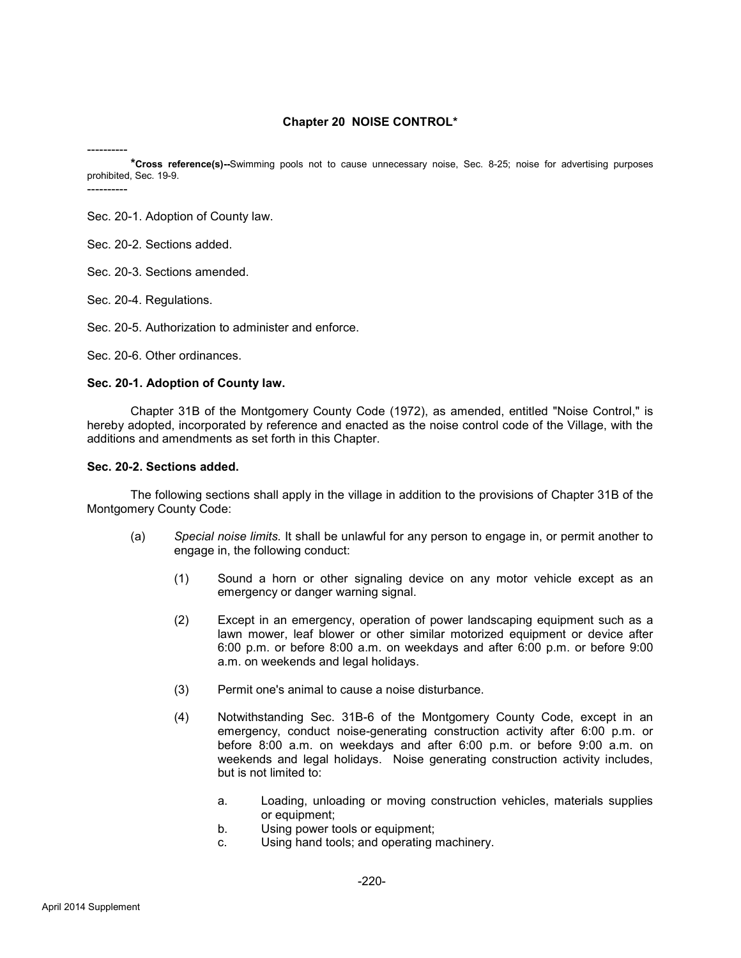# **Chapter 20 NOISE CONTROL\***

----------

**\*Cross reference(s)--**Swimming pools not to cause unnecessary noise, Sec. 8-25; noise for advertising purposes prohibited, Sec. 19-9. ----------

Sec. 20-1. Adoption of County law.

Sec. 20-2. Sections added.

Sec. 20-3. Sections amended.

Sec. 20-4. Regulations.

Sec. 20-5. Authorization to administer and enforce.

Sec. 20-6. Other ordinances.

## **Sec. 20-1. Adoption of County law.**

Chapter 31B of the Montgomery County Code (1972), as amended, entitled "Noise Control," is hereby adopted, incorporated by reference and enacted as the noise control code of the Village, with the additions and amendments as set forth in this Chapter.

## **Sec. 20-2. Sections added.**

The following sections shall apply in the village in addition to the provisions of Chapter 31B of the Montgomery County Code:

- (a) *Special noise limits.* It shall be unlawful for any person to engage in, or permit another to engage in, the following conduct:
	- (1) Sound a horn or other signaling device on any motor vehicle except as an emergency or danger warning signal.
	- (2) Except in an emergency, operation of power landscaping equipment such as a lawn mower, leaf blower or other similar motorized equipment or device after 6:00 p.m. or before 8:00 a.m. on weekdays and after 6:00 p.m. or before 9:00 a.m. on weekends and legal holidays.
	- (3) Permit one's animal to cause a noise disturbance.
	- (4) Notwithstanding Sec. 31B-6 of the Montgomery County Code, except in an emergency, conduct noise-generating construction activity after 6:00 p.m. or before 8:00 a.m. on weekdays and after 6:00 p.m. or before 9:00 a.m. on weekends and legal holidays. Noise generating construction activity includes, but is not limited to:
		- a. Loading, unloading or moving construction vehicles, materials supplies or equipment;
		- b. Using power tools or equipment;
		- c. Using hand tools; and operating machinery.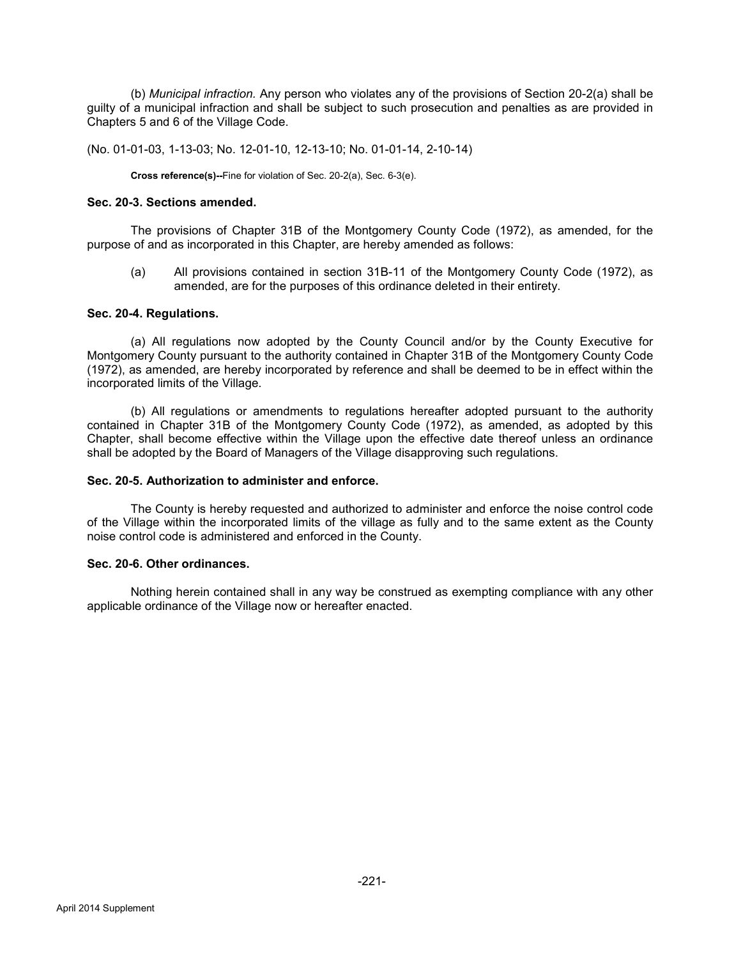(b) *Municipal infraction.* Any person who violates any of the provisions of Section 20-2(a) shall be guilty of a municipal infraction and shall be subject to such prosecution and penalties as are provided in Chapters 5 and 6 of the Village Code.

(No. 01-01-03, 1-13-03; No. 12-01-10, 12-13-10; No. 01-01-14, 2-10-14)

**Cross reference(s)--**Fine for violation of Sec. 20-2(a), Sec. 6-3(e).

## **Sec. 20-3. Sections amended.**

The provisions of Chapter 31B of the Montgomery County Code (1972), as amended, for the purpose of and as incorporated in this Chapter, are hereby amended as follows:

(a) All provisions contained in section 31B-11 of the Montgomery County Code (1972), as amended, are for the purposes of this ordinance deleted in their entirety.

# **Sec. 20-4. Regulations.**

(a) All regulations now adopted by the County Council and/or by the County Executive for Montgomery County pursuant to the authority contained in Chapter 31B of the Montgomery County Code (1972), as amended, are hereby incorporated by reference and shall be deemed to be in effect within the incorporated limits of the Village.

(b) All regulations or amendments to regulations hereafter adopted pursuant to the authority contained in Chapter 31B of the Montgomery County Code (1972), as amended, as adopted by this Chapter, shall become effective within the Village upon the effective date thereof unless an ordinance shall be adopted by the Board of Managers of the Village disapproving such regulations.

#### **Sec. 20-5. Authorization to administer and enforce.**

The County is hereby requested and authorized to administer and enforce the noise control code of the Village within the incorporated limits of the village as fully and to the same extent as the County noise control code is administered and enforced in the County.

#### **Sec. 20-6. Other ordinances.**

Nothing herein contained shall in any way be construed as exempting compliance with any other applicable ordinance of the Village now or hereafter enacted.